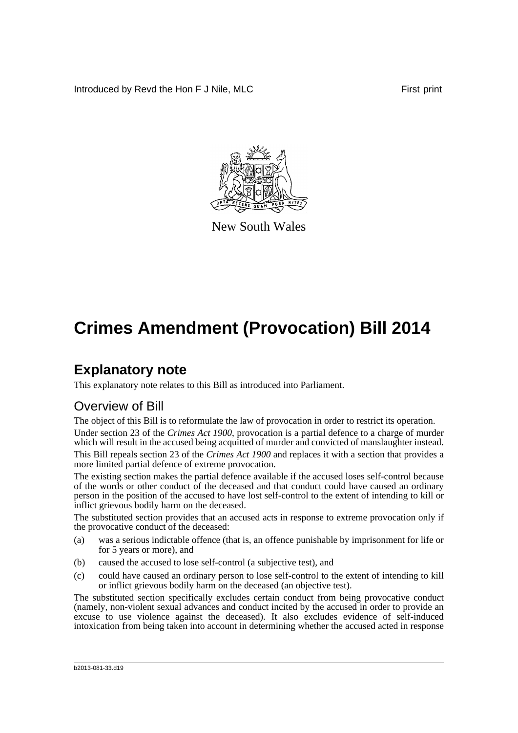Introduced by Revd the Hon F J Nile, MLC First print



New South Wales

# **Crimes Amendment (Provocation) Bill 2014**

## **Explanatory note**

This explanatory note relates to this Bill as introduced into Parliament.

## Overview of Bill

The object of this Bill is to reformulate the law of provocation in order to restrict its operation.

Under section 23 of the *Crimes Act 1900*, provocation is a partial defence to a charge of murder which will result in the accused being acquitted of murder and convicted of manslaughter instead. This Bill repeals section 23 of the *Crimes Act 1900* and replaces it with a section that provides a more limited partial defence of extreme provocation.

The existing section makes the partial defence available if the accused loses self-control because of the words or other conduct of the deceased and that conduct could have caused an ordinary person in the position of the accused to have lost self-control to the extent of intending to kill or inflict grievous bodily harm on the deceased.

The substituted section provides that an accused acts in response to extreme provocation only if the provocative conduct of the deceased:

- (a) was a serious indictable offence (that is, an offence punishable by imprisonment for life or for 5 years or more), and
- (b) caused the accused to lose self-control (a subjective test), and
- (c) could have caused an ordinary person to lose self-control to the extent of intending to kill or inflict grievous bodily harm on the deceased (an objective test).

The substituted section specifically excludes certain conduct from being provocative conduct (namely, non-violent sexual advances and conduct incited by the accused in order to provide an excuse to use violence against the deceased). It also excludes evidence of self-induced intoxication from being taken into account in determining whether the accused acted in response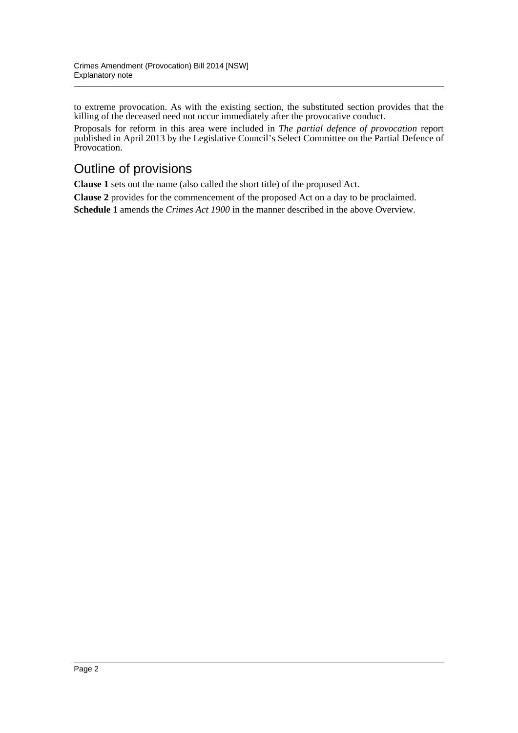to extreme provocation. As with the existing section, the substituted section provides that the killing of the deceased need not occur immediately after the provocative conduct.

Proposals for reform in this area were included in *The partial defence of provocation* report published in April 2013 by the Legislative Council's Select Committee on the Partial Defence of Provocation.

## Outline of provisions

**Clause 1** sets out the name (also called the short title) of the proposed Act.

**Clause 2** provides for the commencement of the proposed Act on a day to be proclaimed. **Schedule 1** amends the *Crimes Act 1900* in the manner described in the above Overview.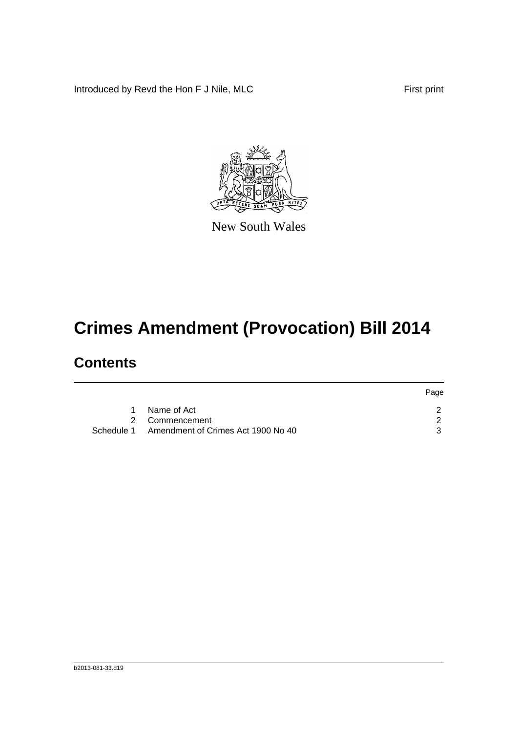Introduced by Revd the Hon F J Nile, MLC First print



New South Wales

# **Crimes Amendment (Provocation) Bill 2014**

## **Contents**

|                                               | Page |
|-----------------------------------------------|------|
| Name of Act                                   |      |
| 2 Commencement                                |      |
| Schedule 1 Amendment of Crimes Act 1900 No 40 |      |
|                                               |      |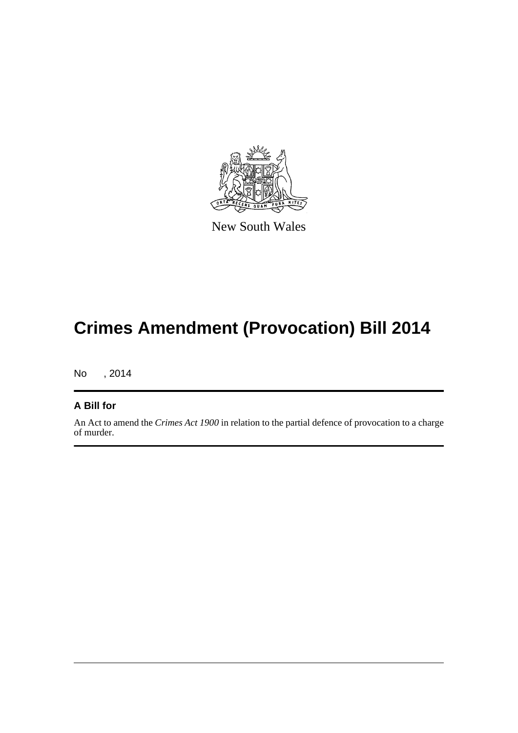

New South Wales

## **Crimes Amendment (Provocation) Bill 2014**

No , 2014

#### **A Bill for**

An Act to amend the *Crimes Act 1900* in relation to the partial defence of provocation to a charge of murder.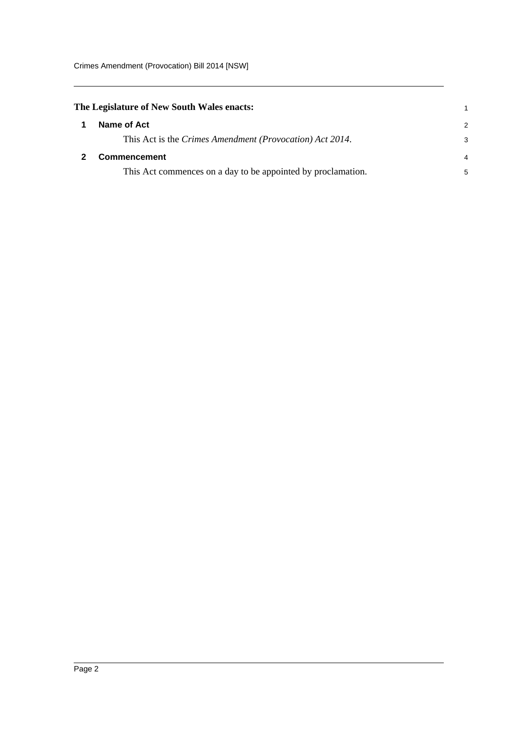<span id="page-4-1"></span><span id="page-4-0"></span>

| The Legislature of New South Wales enacts:                   |               |
|--------------------------------------------------------------|---------------|
| Name of Act                                                  | $\mathcal{P}$ |
| This Act is the Crimes Amendment (Provocation) Act 2014.     | 3             |
| <b>Commencement</b>                                          |               |
| This Act commences on a day to be appointed by proclamation. | 5             |
|                                                              |               |